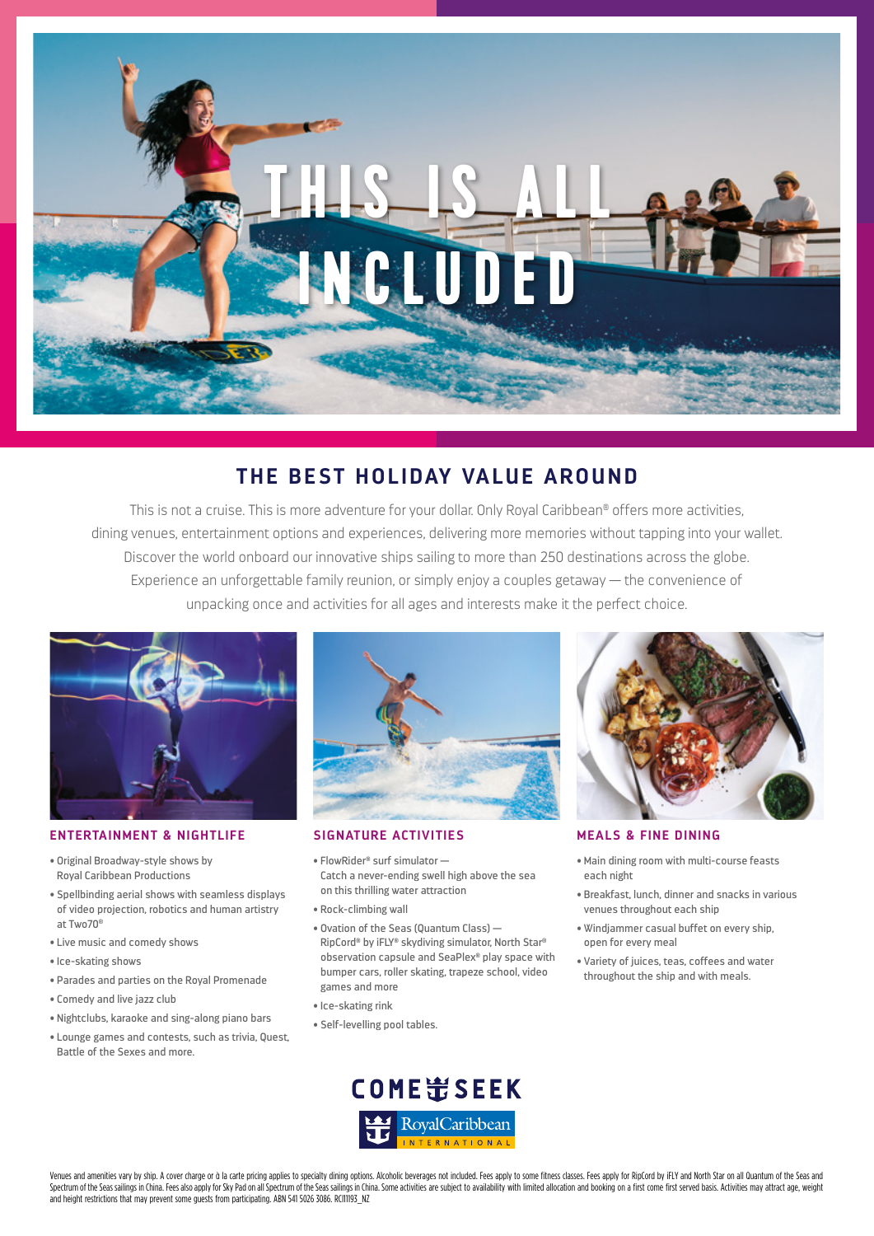

# **THE BEST HOLIDAY VALUE AROUND**

This is not a cruise. This is more adventure for your dollar. Only Royal Caribbean® offers more activities, dining venues, entertainment options and experiences, delivering more memories without tapping into your wallet. Discover the world onboard our innovative ships sailing to more than 250 destinations across the globe. Experience an unforgettable family reunion, or simply enjoy a couples getaway — the convenience of unpacking once and activities for all ages and interests make it the perfect choice.



### **ENTERTAINMENT & NIGHTLIFE SIGNATURE ACTIVITIES MEALS & FINE DINING**

- Original Broadway-style shows by Royal Caribbean Productions
- Spellbinding aerial shows with seamless displays of video projection, robotics and human artistry at Two70®
- Live music and comedy shows
- Ice-skating shows
- Parades and parties on the Royal Promenade
- Comedy and live jazz club
- Nightclubs, karaoke and sing-along piano bars
- Lounge games and contests, such as trivia, Quest, Battle of the Sexes and more.



- FlowRider® surf simulator Catch a never-ending swell high above the sea on this thrilling water attraction
- Rock-climbing wall
- Ovation of the Seas (Quantum Class) RipCord® by iFLY® skydiving simulator, North Star® observation capsule and SeaPlex® play space with bumper cars, roller skating, trapeze school, video games and more
- Ice-skating rink
- Self-levelling pool tables.



- Main dining room with multi-course feasts each night
- Breakfast, lunch, dinner and snacks in various venues throughout each ship
- Windjammer casual buffet on every ship, open for every meal
- Variety of juices, teas, coffees and water throughout the ship and with meals.



Venues and amenities vary by ship. A cover charge or q la carte pricing applies to specialty dining options. Alcoholic beverages not included. Fees apply to some fitness classes. Fees apply for RipCord by iELY and North St Spectrum of the Seas sailings in China. Fees also apply for Sky Pad on all Spectrum of the Seas sailings in China. Some activities are subject to availability with limited allocation and booking on a first come first serve and height restrictions that may prevent some guests from participating. ABN 541 5026 3086. RCI11193\_NZ